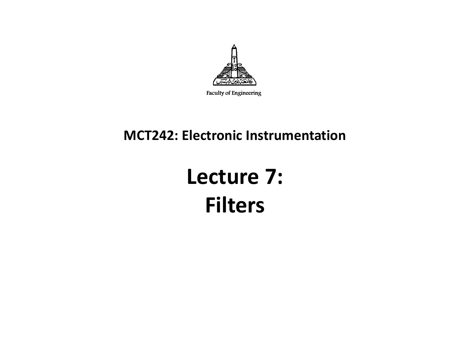

Faculty of Engineering

#### **MCT242: Electronic Instrumentation**

### **Lecture 7: Filters**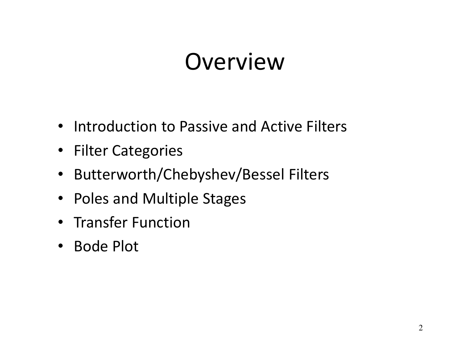### Overview

- Introduction to Passive and Active Filters
- Filter Categories
- $\bullet$ Butterworth/Chebyshev/Bessel Filters
- Poles and Multiple Stages
- Transfer Function
- Bode Plot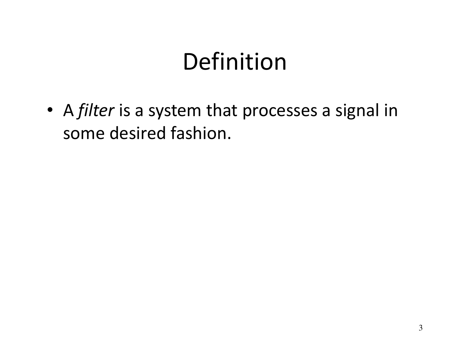# Definition

• <sup>A</sup>*filter* is a system that processes a signal in some desired fashion.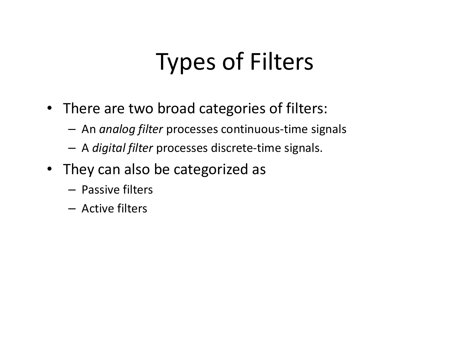# Types of Filters

- There are two broad categories of filters:
	- –An *analog filter* processes continuous-time signals
	- <sup>A</sup>*digital filter* processes discrete-time signals.
- They can also be categorized as
	- Passive filters
	- Active filters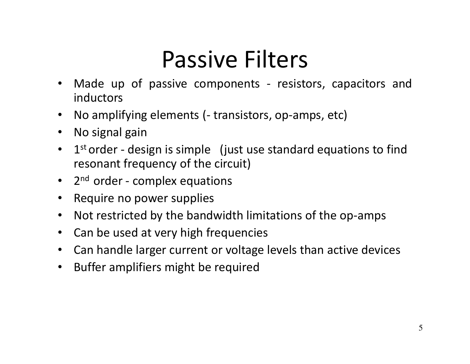# Passive Filters

- Made up of passive components resistors, capacitors and $\bullet$ inductors
- $\bullet$ No amplifying elements (- transistors, op-amps, etc)
- $\bullet$ No signal gain
- $\bullet$ 1<sup>st</sup> order - design is simple (just use standard equations to find resonant frequency of the circuit)
- 2<sup>nd</sup> order complex equations
- Require no power supplies
- $\bullet$ Not restricted by the bandwidth limitations of the op-amps
- Can be used at very high frequencies
- •Can handle larger current or voltage levels than active devices
- $\bullet$ Buffer amplifiers might be required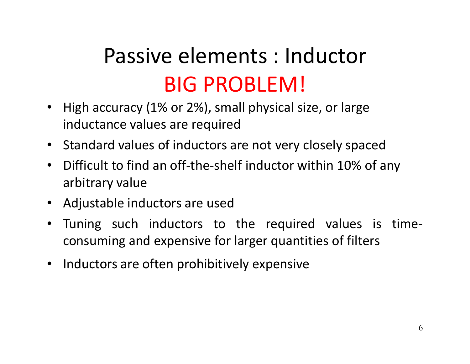### Passive elements : Inductor BIG PROBLEM!

- High accuracy (1% or 2%), small physical size, or large inductance values are required
- Standard values of inductors are not very closely spaced
- $\bullet$  Difficult to find an off-the-shelf inductor within 10% of any arbitrary value
- Adjustable inductors are used
- $\bullet$  Tuning such inductors to the required values is timeconsuming and expensive for larger quantities of filters
- Inductors are often prohibitively expensive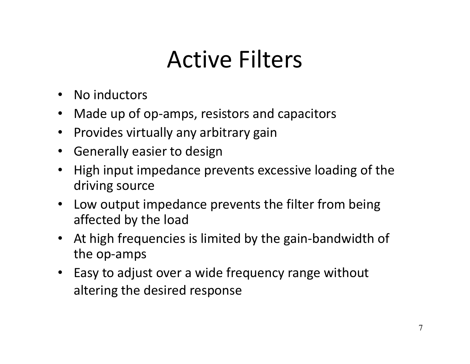# Active Filters

- No inductors
- $\bullet$ Made up of op-amps, resistors and capacitors
- Provides virtually any arbitrary gain
- Generally easier to design
- $\bullet$  High input impedance prevents excessive loading of the driving source
- $\bullet$  Low output impedance prevents the filter from beingaffected by the load
- At high frequencies is limited by the gain-bandwidth of the op-amps
- Easy to adjust over a wide frequency range without altering the desired response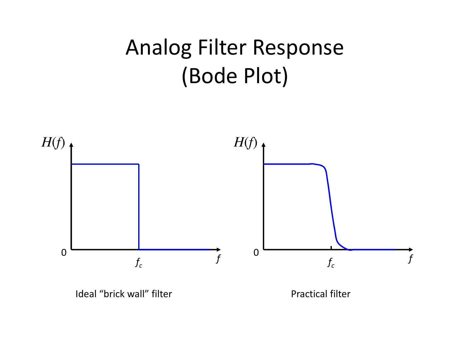### Analog Filter Response (Bode Plot)



Ideal "brick wall" filter extending the Practical filter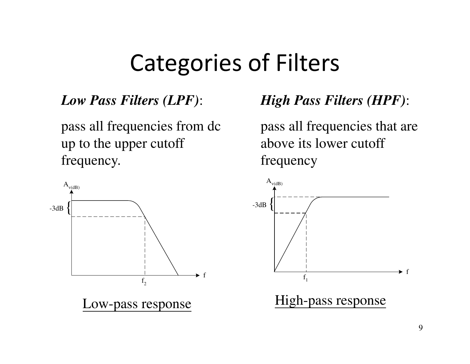### Categories of Filters

#### *Low Pass Filters (LPF)*:

pass all frequencies from dc up to the upper cutoff frequency.



Low-pass response

#### *High Pass Filters (HPF)*:

pass all frequencies that are above its lower cutoff frequency

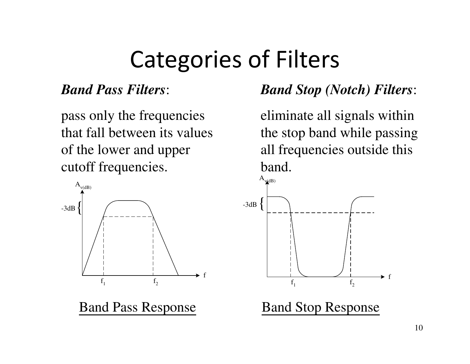# Categories of Filters

#### *Band Pass Filters*:

pass only the frequencies that fall between its values of the lower and upper cutoff frequencies.



Band Pass Response

#### *Band Stop (Notch) Filters*:

eliminate all signals within the stop band while passing all frequencies outside this band.

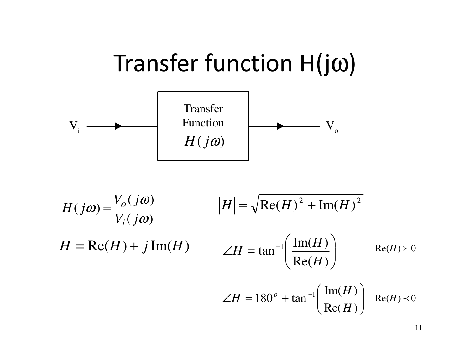

$$
H(j\omega) = \frac{V_o(j\omega)}{V_i(j\omega)}
$$

$$
|H| = \sqrt{\text{Re}(H)^2 + \text{Im}(H)^2}
$$

$$
H = \text{Re}(H) + j\text{Im}(H)
$$

$$
\angle H = \tan^{-1}\left(\frac{\text{Im}(H)}{\text{Re}(H)}\right)
$$

$$
\text{Re}(H) \succ 0
$$

$$
\angle H = 180^\circ + \tan^{-1} \left( \frac{\text{Im}(H)}{\text{Re}(H)} \right) \text{Re}(H) \prec 0
$$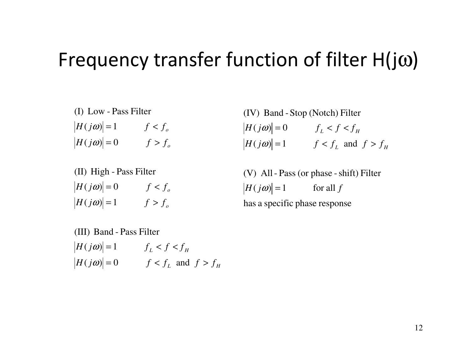### Frequency transfer function of filter  $\bm{\mathsf{H}}(\mathsf{j}\omega)$

 $\left|H(j\omega)\right|=0$   $f>f_o$  $\left|H(j\omega)\right|=1$   $f < f_o$  $(j\omega) = 0$   $f >$ (I) Low - Pass Filter

 $\left|H(j\omega)\right|=1$   $f>f_o$  $\left|H(j\omega)\right|=0$   $f < f_o$  $(j\omega)$  = 1 f > (II) High - Pass Filter

 $|H(j\omega)| = 1$   $f < f_L$  and  $f > f_L$  $\left| H(j\omega) \right| = 0$   $f_L < f < f_H$ (IV) Band -Stop (Notch) Filter  $L$  and  $J$  /  $J$   $H$  $\omega$  $=$   $1$   $t < t$ , and  $t >$ 

has a specific <sup>p</sup>hase response  $|H(j\omega)| = 1$  for all f (V) All- Pass (or phase -shift) Filter

 $L$  and  $J \times J$   $H$  $H(j\omega) = 1$   $f_L < f < f_H$  $H(j\omega) = 0$  *f* < *f<sub>L</sub>* and *f* > *f*  $(j\omega)$  = 0  $f < f_L$  and  $f >$ (III) Band - Pass Filter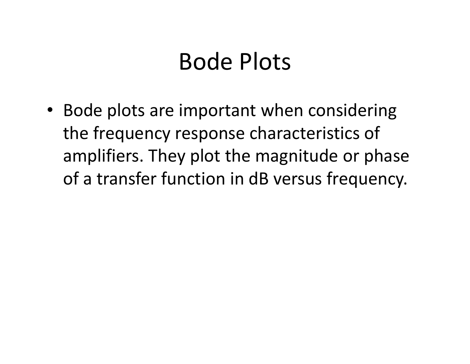### Bode Plots

• Bode plots are important when considering the frequency response characteristics of amplifiers. They plot the magnitude or phase of a transfer function in dB versus frequency.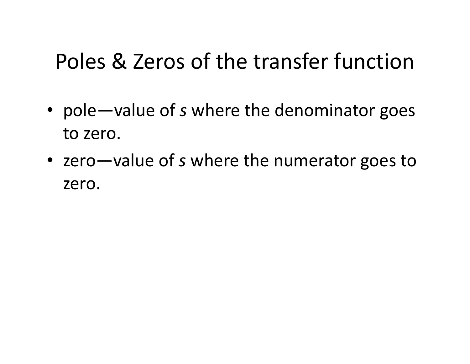### Poles & Zeros of the transfer function

- pole—value of *s* where the denominator goes to zero.
- zero—value of s where the numerator goes to zero.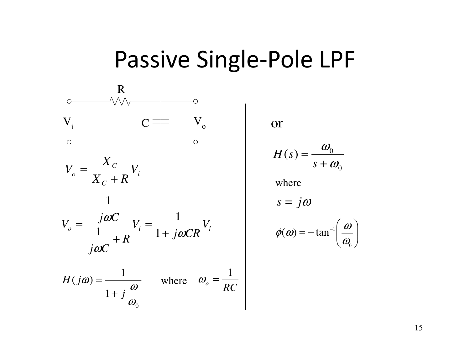### Passive Single-Pole LPF



or

$$
H(s) = \frac{\omega_0}{s + \omega_0}
$$

where

$$
s=j\omega
$$

$$
\phi(\omega) = -\tan^{-1}\left(\frac{\omega}{\omega_0}\right)
$$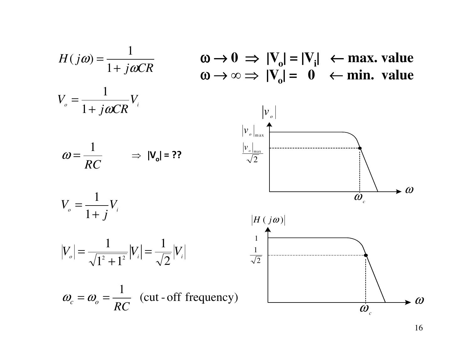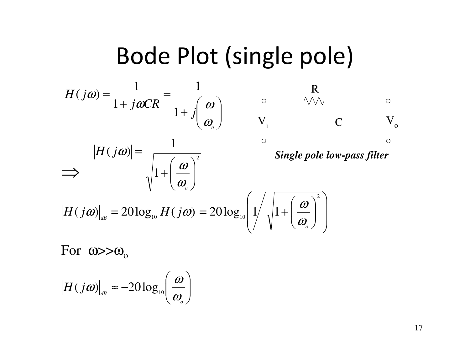### Bode Plot (single pole)









$$
|H(j\omega)|_{\text{dB}} = 20\log_{10}|H(j\omega)| = 20\log_{10}\left(1/\sqrt{1+\left(\frac{\omega}{\omega_o}\right)^2}\right)
$$

For  $\omega > \omega_{\rm o}$ 

$$
\big|H(j\boldsymbol{\omega})\big|_{\scriptscriptstyle dB}\thickapprox-20\log_{10}\!\!\left(\frac{\boldsymbol{\omega}}{\boldsymbol{\omega}_{_{\!o}}}\right)
$$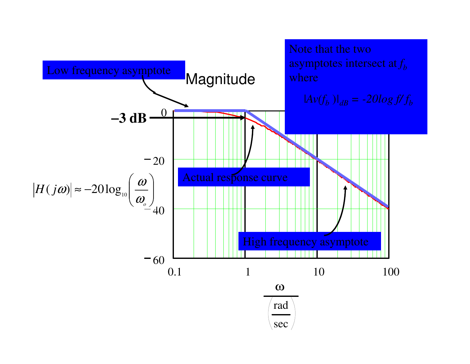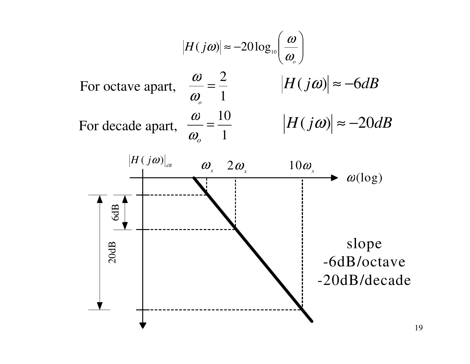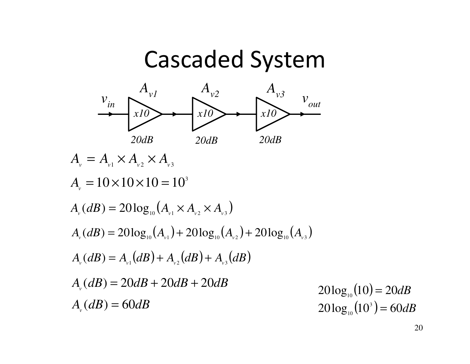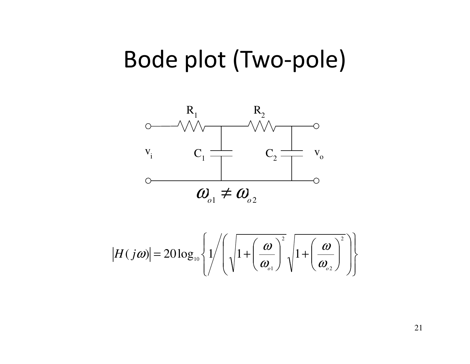### Bode plot (Two-pole)



$$
|H(j\omega)| = 20\log_{10}\left\{\frac{1}{\sqrt{1+\left(\frac{\omega}{\omega_{01}}\right)^2}\sqrt{1+\left(\frac{\omega}{\omega_{02}}\right)^2}}\right\}
$$